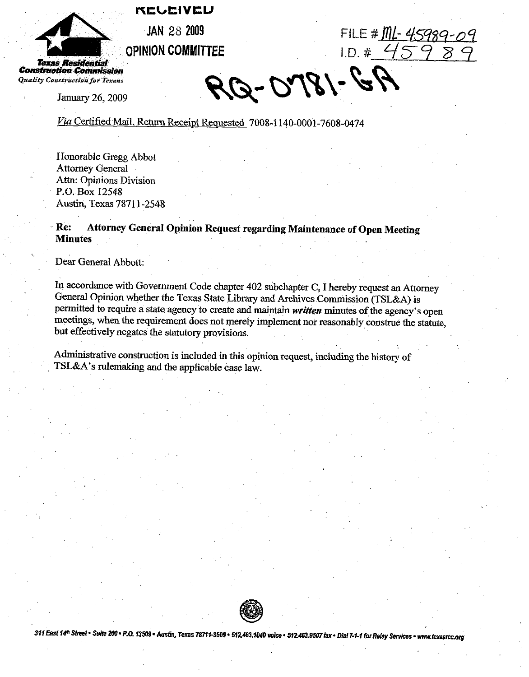REGEIVED



Residential **Construction Commission** Quality Construction for Texans

January 26, 2009

FILE #  $ML-45989 - O<sup>o</sup>$  $1.0.4459$ 

RQ-0781-6P

Via Certified Mail, Return Receipt Requested 7008-1140-0001-7608-0474

Honorable Gregg Abbot **Attorney General** Attn: Opinions Division P.O. Box 12548 Austin, Texas 78711-2548

Attorney General Opinion Request regarding Maintenance of Open Meeting Re: **Minutes** 

Dear General Abbott:

In accordance with Government Code chapter 402 subchapter C, I hereby request an Attorney General Opinion whether the Texas State Library and Archives Commission (TSL&A) is permitted to require a state agency to create and maintain written minutes of the agency's open meetings, when the requirement does not merely implement nor reasonably construe the statute, but effectively negates the statutory provisions.

Administrative construction is included in this opinion request, including the history of TSL&A's rulemaking and the applicable case law.



311 East 14<sup>th</sup> Street · Suite 200 · P.O. 13509 · Austin, Texas 78711-3509 · 512.463.1040 voice · 512.463.9507 fax · Dial 7-1-1 for Relay Services · www.texasrcc.org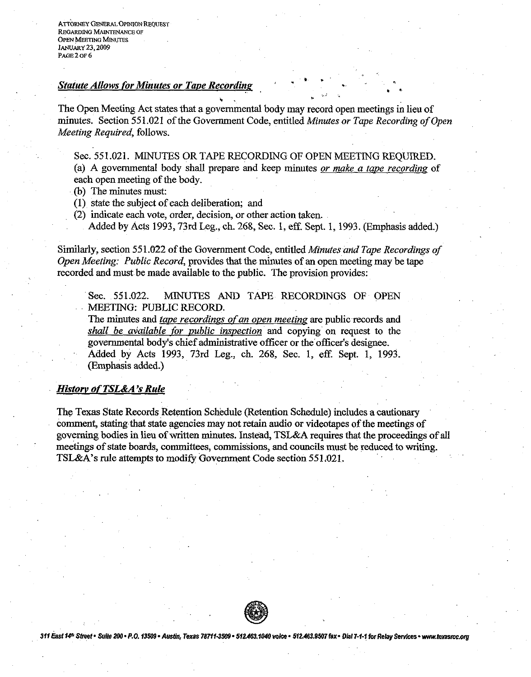**ATTORNEY GENERAL OPINION REQUEST REGARDING MAINTENANCE OF** OPEN **MEETING MINUTES JANUARY 23,2009 PAGE 2 OF 6** 

## *Statute Allows for Minutes or Tape Recording*

. . **t.**  The Open Meeting Act states that a governmental body may record open meetings in lieu of minutes. Section 551.021 of the Government Code, entitled Minutes or Tape Recording of Open Meeting Required, follows.

Sec. 551.021. MINUTES OR TAPE RECORDING OF OPEN MEETING REQUIRED.

(a) A governmental body shall prepare and keep minutes or make a tape recording of each open meeting of the body.

- (b) The minutes must:
- (I) state the subject of each deliberation; and
- (2) indicate each vote, order, decision, or other action taken.
	- Added by Acts 1993,73rd Leg., ch. 268, Sec. 1, eff. Sept. 1,1993. (Emphasis added.)

Similarly, section 55 1.022 of the Government Code, entitled Minutes and Tape Recordings of Open Meeting: Public Record, provides that the minutes of an open meeting may be tape recorded and must be made available to the public. The provision provides:

Sec. 551.022. MINUTES AND TAPE RECORDINGS OF OPEN MEETING: PUBLIC RECORD.

The minutes and tape recordings of an open meeting are public records and *shall be available for public inspection* and copying on request to the governmental body's chief administrative officer or the officer's designee. Added by Acts 1993, 73rd Leg., ch. 268, Sec. 1, eff. Sept. 1, 1993. (Emphasis added.)

## **History of TSL&A's Rule**

The Texas State Records Retention Schedule (Retention Schedule) includes a cautionary comment, stating that state agencies may not retain audio or videotapes of the meetings of governing bodies in lieu of written minutes. Instead, TSL&A requires that the proceedings of all meetings of state boards, committees, commissions, and councils must be reduced to writing. TSL&A's rule attempts to modify Government Code section 551.021.



311 East 14th Street • Suite 200 • P.O. 13509 • Austin, Texas 78711-3509 • 512.463.1040 voice • 512.463.9507 fax • Dial 7-1-1 for Relay Services • www.texasrcc.org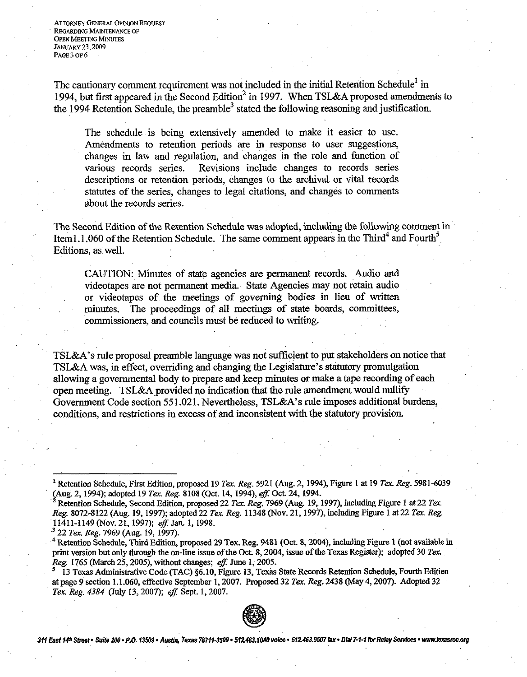**ATTORNEY GENERAL OPINION REQUEST** REGARDING MAINTENANCE OF OPEN MEETING MINUTES **JANUARY** 23,2009 PAGE 3 **OF** 6

The cautionary comment requirement was not included in the initial Retention schedule' in 1994, but first appeared in the Second Edition<sup>2</sup> in 1997. When TSL&A proposed amendments to the 1994 Retention Schedule, the preamble<sup>3</sup> stated the following reasoning and justification.

The schedule is being extensively amended to make it easier to use. Amendments to retention periods are in response to user suggestions, changes in law and regulation, and changes in the role and function of various records series. Revisions include changes to records series descriptions or retention periods, changes to the archival or vital records statutes of the series, changes to legal citations, and changes to comments about the records series.

The Second Edition of the Retention Schedule was adopted, including the following comment in Item1.1.060 of the Retention Schedule. The same comment appears in the Third<sup>4</sup> and Fourth<sup>5</sup> Editions, as well.

CAUTION: Minutes of state agencies are permanent records. Audio and videotapes are not permanent media. State Agencies may not retain audio or videotapes of the meetings of governing bodies in lieu of written minutes. The proceedings of all meetings of state boards, committees, commissioners, and councils must be reduced to writing.

TSL&A's rule proposal preamble language was not sufficient to put stakeholders on notice that TSL&A was, in effect, overriding and changing the Legislature's statutory promulgation allowing a governmental body to prepare and keep minutes or make a tape recording of each open meeting. TSL&A provided no indication that the rule amendment would nullify Government Code section 55 1.021. Nevertheless, TSL&A's rule imposes additional burdens, conditions, and restrictions in excess of and inconsistent with the statutory provision.

<sup>13</sup> Texas Administrative Code (TAC) §6.10, Figure 13, Texas State Records Retention Schedule, Fourth Edition at page 9 section 1.1.060, effective September 1,2007. Pmposed 32 **Tex.** *Reg.* 2438 (May 4,2007). Adopted 32 **Ter.** *Reg.* 4384 (July 13,2007); *eft:* Sepr 1,2007.



311 East 14<sup>th</sup> Street · Suite 200 · P.O. 13509 · Austin, Texas 78711-3509 · 512.463.1040 voice · \$12.463.9507 fax · Dial7-1-1 for Relay Services · www.texasrcc.org

<sup>&</sup>lt;sup>1</sup> Retention Schedule, First Edition, proposed 19 Tex. Reg. 5921 (Aug. 2, 1994), Figure 1 at 19 Tex. Reg. 5981-6039 (Aug. 2,1994); adopted 19 **Ter.** *Reg.* 8108 (Qct. 14,1994), *efl* Oct 24,1994.

<sup>&</sup>quot;Retention Schedule, Second Edition, proposed 22 **Ter** *Reg.* 7969 (Aug. 19, 1997), including Figure 1 at 22 **Ter.**  *Reg.* 8072-8122 (Aug. 19, 1997); adopted22 **Tex.** *Reg.* 11348 (Nov. 21,1997), including Figure 1 at 22 **Tex.** *Reg.*  11411-1149 (Nov. 21, 1997); *eff.* Jan. 1, 1998.<br><sup>3</sup> 22 *Tex. Reg.* 7969 (Aug. 19, 1997).

Retention Schedule, Third Edition, proposed 29 Tex. Reg. 9481 **(Oct** 8,2004), including Figure 1 (not available in print version but only through the on-line issue of the Oct 8,2004, issue of the Texas Register); adopted 30 **Ter.**  *Reg.* 1765 (March 25,2005), without changes; *eff:* June 1; 2005.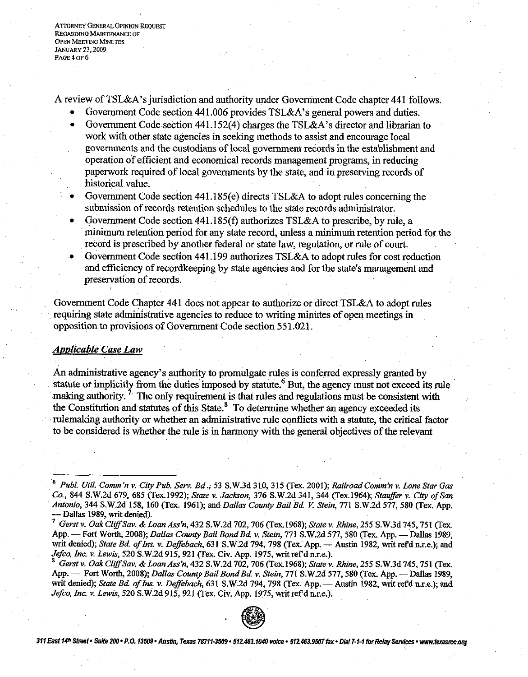**ATTORNEY GENERAL OPINION REQUEST REGARDING MAINTENANCE OF OPEN MEETING MINUTES JANUARY 23,2M)9 PAGE 4 OF** *6* 

A review of TSL&A's jurisdiction and authority under Government Code chapter 441 follows.

- Government Code section 441.006 provides TSL&A's general powers and duties.
- Government Code section 441.152(4) charges the TSL&A's director and librarian to work with other state agencies in seeking methods to assist and encourage local governments and the custodians of local government records in the establishment and operation of efficient and economical records management programs, in reducing paperwork required of local governments by the state, and in preserving records of historical value.
- Government Code section 441.185(e) directs TSL&A to adopt rules concerning the submission of records retention schedules to the state records administrator.
- Government Code section 441.185(f) authorizes TSL&A to prescribe, by rule, a minimum retention period for any state record, unless a minimum retention period for the record is prescribed by another federal or state law, regulation, or rule of court.
- Government Code section 441.199 authorizes TSL&A to adopt rules for cost reduction and efficiency of recordkeeping by state agencies and for the state's management and preservation of records.

Government Code Chapter 441 does not appear to authorize or direct TSL&A to adopt rules requiring state administrative agencies to reduce to writing minutes of open meetings in opposition to provisions of Government Code section 55 1.021.

## *Applicable* **Case** *Law*

**An** administrative agency's authority to promulgate rules is conferred expressly granted by statute or implicitly from the duties imposed by statute. $^{\circ}$  But, the agency must not exceed its rule An administrative agency's authority to promulgate rules is conferred expressly granted by statute or implicitly from the duties imposed by statute.<sup>6</sup> But, the agency must not exceed its rules making authority.<sup>7</sup> The on the Constitution and statutes of this state.' To determine whether **an** agency exceeded its rulemaking authority or whether **an** administrative rule conflicts with a statute, the critical factor to be considered is whether the rule is in harmony with the general objectives of the relevant

*Gmt* **v.** *Oak CIz%fSav.* & *Loan Ass'n,* **432 S.W.2d 702,706 (Tex.1968);** *State* **v.** *Rhine,* **255 S.W.3d 745,751 (Tex.**  *App. 1. Iewis, 520 S.W.2d 915, 921 (Tex. Civ. App. 1975, writ ref d n.r.e.).*<br>
<sup>3</sup> *Gerst v. Oak Cliff Sav. & Loan Ass'n, 432 S.W.2d 702, 706 (Tex.1968); <i>State v. Rhine, 255 S.W.3d 745, 751 (Tex.*<br>App. — Fort Worth, 2008 **writ denied);** *State Bd ofIns.* **v.** *Defebach,* **631 S.W.2d 794,798 (Tex App. -Austin 1982,** writ **refd ur.e.); and**  *Jefco, Inc.* **v.** *Lewis,* **520 S.W.2d 915, 921 (Tex. Civ. App. 1975, writ 1efdn.r.e.).** 



311 East 14th Street . Suite 200 . P.O. 13509 . Austin, Texas 78711-3509 . 512.463.1040 voice . 512.463.9507 fax . Dial 7-1-1 for Relay Services . www.texasrcc.org

*Publ. Util. Comm22* **v.** *City Pub. Serv. Bd.,* **53 S.W.3d 310,315 (Tex. 2001);** *Railroad Comm'n* **v.** *Lone Star Gas Co.,* **844 S.W.2d 679, 685 (Tex.1992);** *State* **v.** *Jackson,* **376 S.W.2d 341, 344 (Tex.1964);** *Stauffer* **v.** *City ofSan Antonio,* **344 S.W.2d 158, 160 (Tex. 1961); and** *Dallas County Bail Bd* **K** *Stein,* **771 S.W.2d 577, 580 (Tex. App. -Dallas 1989, writ denied).** 

**<sup>7</sup>***Gerst* **v.** *Oak Clr%fSav. &Loan Ass'n,* **432 S.W.2d 702,706 (Tex.1968);** *State* **v.** *Rhine,* **255 S.W.3d 745,751 (Tex.**  App. -- Fort Worth, 2008); *Dallas County Bail Bond Bd. v. Stein, 771 S.W.2d 577, 580 (Tex. App. -- Dallas 1989,* writ denied); *State Bd. of Ins. v. Deffebach*, 631 S.W.2d 794, 798 (Tex. App. - Austin 1982, writ ref<sup>d</sup> n.r.e.); and *Jefco, Inc.* **v.** *Lewis,* **520 S.W.2d 915, 921 (Tex. Civ. App. 1975, writ refdn.r.e.).**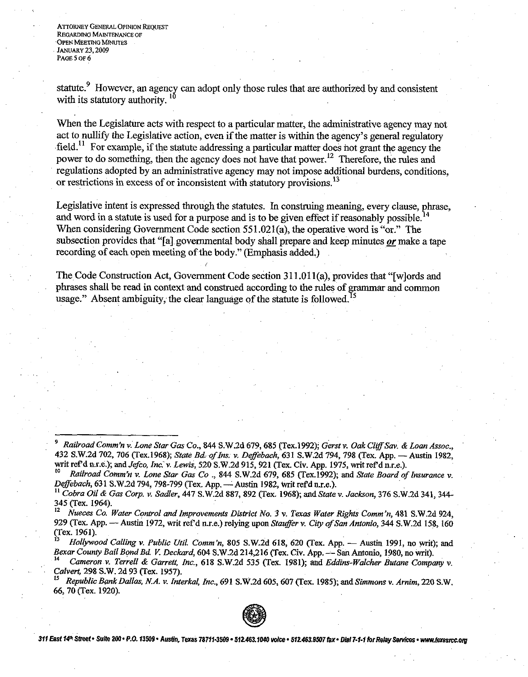**ATTORNEY GENERAL OPINION REQUEST REGARDING MAINTENANCE OF OPEN MEETING MINUTES JANUARY 23, 2009** *PAGE 5 OF 6* 

statute.<sup>9</sup> However, an agency can adopt only those rules that are authorized by and consistent with its statutory authority.

When the Legislature acts with respect to a particular matter, the administrative agency may not act to nullify the Legislative action, even if the matter is within the agency's general regulatory field.<sup>11</sup> For example, if the statute addressing a particular matter does not grant the agency the power to do something, then the agency does not have that power.<sup>12</sup> Therefore, the rules and regulations adopted by an administrative agency may not impose additional burdens, conditions, or restrictions in excess of or inconsistent with statutory provisions.<sup>13</sup>

Legislative intent is expressed through the statutes. In construing meaning, every clause, phrase, and word in a statute is used for a purpose and is to be given effect if reasonably possible.<sup>1</sup> When considering Government Code section  $551.021(a)$ , the operative word is "or." The subsection provides that "[a] governmental body shall prepare and keep minutes **or** make a tape recording of each open meeting of the body." (Emphasis added.)

The Code Construction Act, Government Code section **3** 11 .011(a), provides that "[wlords and phrases shall be read in context and construed according to the rules of grammar and common usage." Absent ambiguity, the clear language of the statute is followed.<sup>15</sup>

*Calvert,* 298 S.W. 2d 93 Rex. 1957).

**<sup>15</sup>***Republic Bd Dallas, NA. v. Interkal, Inc.,* 691 S.W.2d 605,607 vex. 1985); and *Simmons v. Arnim,* 220 S.W. 66, 70 (Tex. 1920).



**311 East f4hf Suite 2W- P.O. 335439- AusUn, Texas 787ii.3509 -512463.1~** voke. **512463.9507fax. Dl81 7-1-1 forReley Swims. mnw.texasmICCorg** 

*Railroad Comm'n v. Lone Star Gas Co., 844 S.W.2d 679, 685 (Tex.1992); Gerst v. Oak Cliff Sav. & Loan Assoc.,* 432 S.W.2d 702, 706 (Tex.1968); *State Bd. of Ins. v. Deffebach*, 631 S.W.2d 794, 798 (Tex. App. - Austin 1982, writ ref'd n.r.e.); and *Jefco, Inc. v. Lewis*, 520 S.W.2d 915, 921 (Tex. Civ. App. 1975, writ ref'd n.r.e.).

Railroad Comm'n v. Lone Star Gas Co., 844 S.W.2d 679, 685 (Tex.1992); and State Board of Insurance v. *Deffebach*, 631 S.W.2d 794, 798-799 (Tex. App. - Austin 1982, writ ref'd n.r.e.).

**I1** *Cobra Oil* & Gas *Corp. v. Sadler,* 447 S.W.2d 887,892 (Tex. 1968); and *State v. Jackson,* 376 S.W.2d 341,344- 345 (Tex. 1964).

**<sup>12</sup>***Nueces Co. Water Control and Improvements Disbict No. 3 v.* **Texas** *Water Rights Comm'n,* 481 S.W.2d 924, 929 (Tex. App. - Austin 1972, writ ref'd n.r.e.) relying upon *Stauffer v. City of San Antonio*, 344 S.W.2d 158, 160 (Tex. 1961). **929 (Tex. App. -- Austin 1972, writ ref'd n.r.e.) relying upon** *Stauffer v. City of San Antonio***, 344 S.W.2d 158, 160<br>
(Tex. 1961).<br>
<sup>13</sup>** *Hollywood Calling v. Public Util. Comm'n,* **805 S.W.2d 618, 620 (Tex. App. -- Austi** 

<sup>(</sup>Tex. 1961).<br><sup>13</sup> Hollywood Calling v. Public Util. Comm'n, 805 S.W.2d 618, 620 (Tex. App. — Austin 1991, no writ); and<br>Bexar County Bail Bond Bd. V. Deckard, 604 S.W.2d 214,216 (Tex. Civ. App. — San Antonio, 1980, no writ